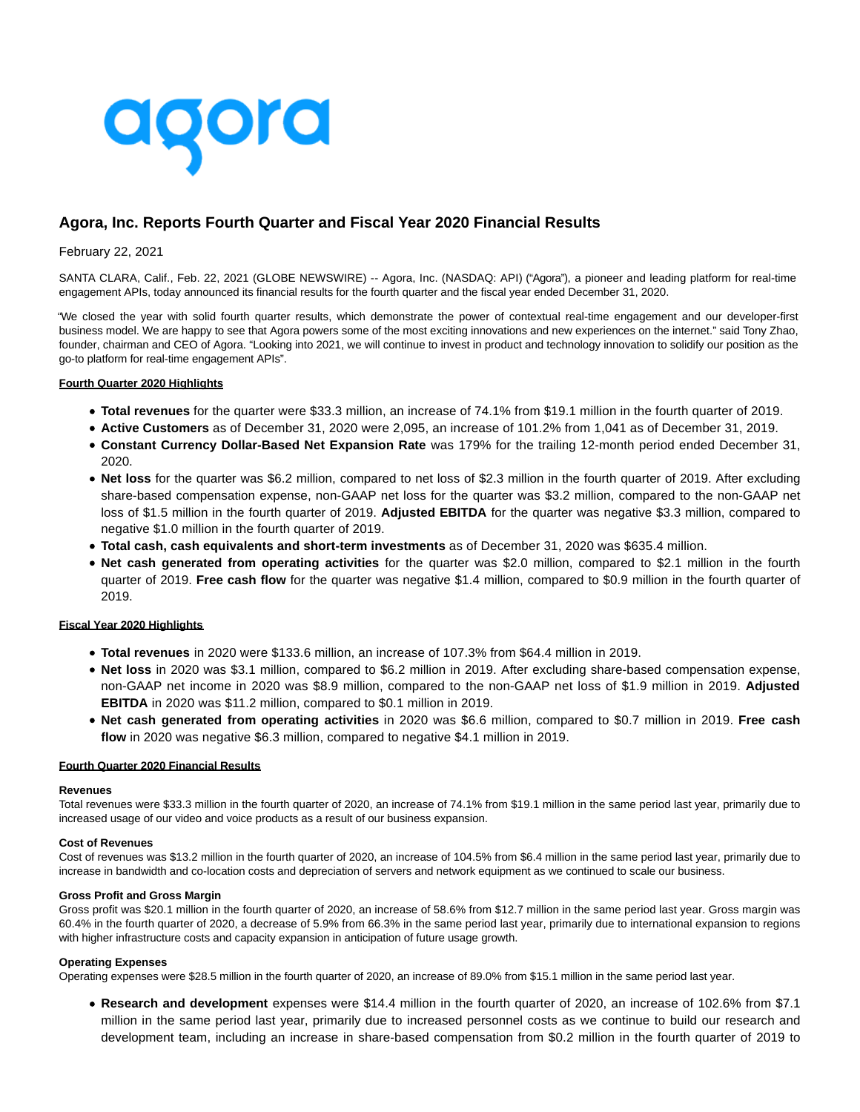

# **Agora, Inc. Reports Fourth Quarter and Fiscal Year 2020 Financial Results**

### February 22, 2021

SANTA CLARA, Calif., Feb. 22, 2021 (GLOBE NEWSWIRE) -- Agora, Inc. (NASDAQ: API) ("Agora"), a pioneer and leading platform for real-time engagement APIs, today announced its financial results for the fourth quarter and the fiscal year ended December 31, 2020.

"We closed the year with solid fourth quarter results, which demonstrate the power of contextual real-time engagement and our developer-first business model. We are happy to see that Agora powers some of the most exciting innovations and new experiences on the internet." said Tony Zhao, founder, chairman and CEO of Agora. "Looking into 2021, we will continue to invest in product and technology innovation to solidify our position as the go-to platform for real-time engagement APIs".

### **Fourth Quarter 2020 Highlights**

- **Total revenues** for the quarter were \$33.3 million, an increase of 74.1% from \$19.1 million in the fourth quarter of 2019.
- **Active Customers** as of December 31, 2020 were 2,095, an increase of 101.2% from 1,041 as of December 31, 2019.
- **Constant Currency Dollar-Based Net Expansion Rate** was 179% for the trailing 12-month period ended December 31, 2020.
- **Net loss** for the quarter was \$6.2 million, compared to net loss of \$2.3 million in the fourth quarter of 2019. After excluding share-based compensation expense, non-GAAP net loss for the quarter was \$3.2 million, compared to the non-GAAP net loss of \$1.5 million in the fourth quarter of 2019. **Adjusted EBITDA** for the quarter was negative \$3.3 million, compared to negative \$1.0 million in the fourth quarter of 2019.
- **Total cash, cash equivalents and short-term investments** as of December 31, 2020 was \$635.4 million.
- **Net cash generated from operating activities** for the quarter was \$2.0 million, compared to \$2.1 million in the fourth quarter of 2019. **Free cash flow** for the quarter was negative \$1.4 million, compared to \$0.9 million in the fourth quarter of 2019.

### **Fiscal Year 2020 Highlights**

- **Total revenues** in 2020 were \$133.6 million, an increase of 107.3% from \$64.4 million in 2019.
- **Net loss** in 2020 was \$3.1 million, compared to \$6.2 million in 2019. After excluding share-based compensation expense, non-GAAP net income in 2020 was \$8.9 million, compared to the non-GAAP net loss of \$1.9 million in 2019. **Adjusted EBITDA** in 2020 was \$11.2 million, compared to \$0.1 million in 2019.
- **Net cash generated from operating activities** in 2020 was \$6.6 million, compared to \$0.7 million in 2019. **Free cash flow** in 2020 was negative \$6.3 million, compared to negative \$4.1 million in 2019.

### **Fourth Quarter 2020 Financial Results**

#### **Revenues**

Total revenues were \$33.3 million in the fourth quarter of 2020, an increase of 74.1% from \$19.1 million in the same period last year, primarily due to increased usage of our video and voice products as a result of our business expansion.

### **Cost of Revenues**

Cost of revenues was \$13.2 million in the fourth quarter of 2020, an increase of 104.5% from \$6.4 million in the same period last year, primarily due to increase in bandwidth and co-location costs and depreciation of servers and network equipment as we continued to scale our business.

### **Gross Profit and Gross Margin**

Gross profit was \$20.1 million in the fourth quarter of 2020, an increase of 58.6% from \$12.7 million in the same period last year. Gross margin was 60.4% in the fourth quarter of 2020, a decrease of 5.9% from 66.3% in the same period last year, primarily due to international expansion to regions with higher infrastructure costs and capacity expansion in anticipation of future usage growth.

### **Operating Expenses**

Operating expenses were \$28.5 million in the fourth quarter of 2020, an increase of 89.0% from \$15.1 million in the same period last year.

**Research and development** expenses were \$14.4 million in the fourth quarter of 2020, an increase of 102.6% from \$7.1 million in the same period last year, primarily due to increased personnel costs as we continue to build our research and development team, including an increase in share-based compensation from \$0.2 million in the fourth quarter of 2019 to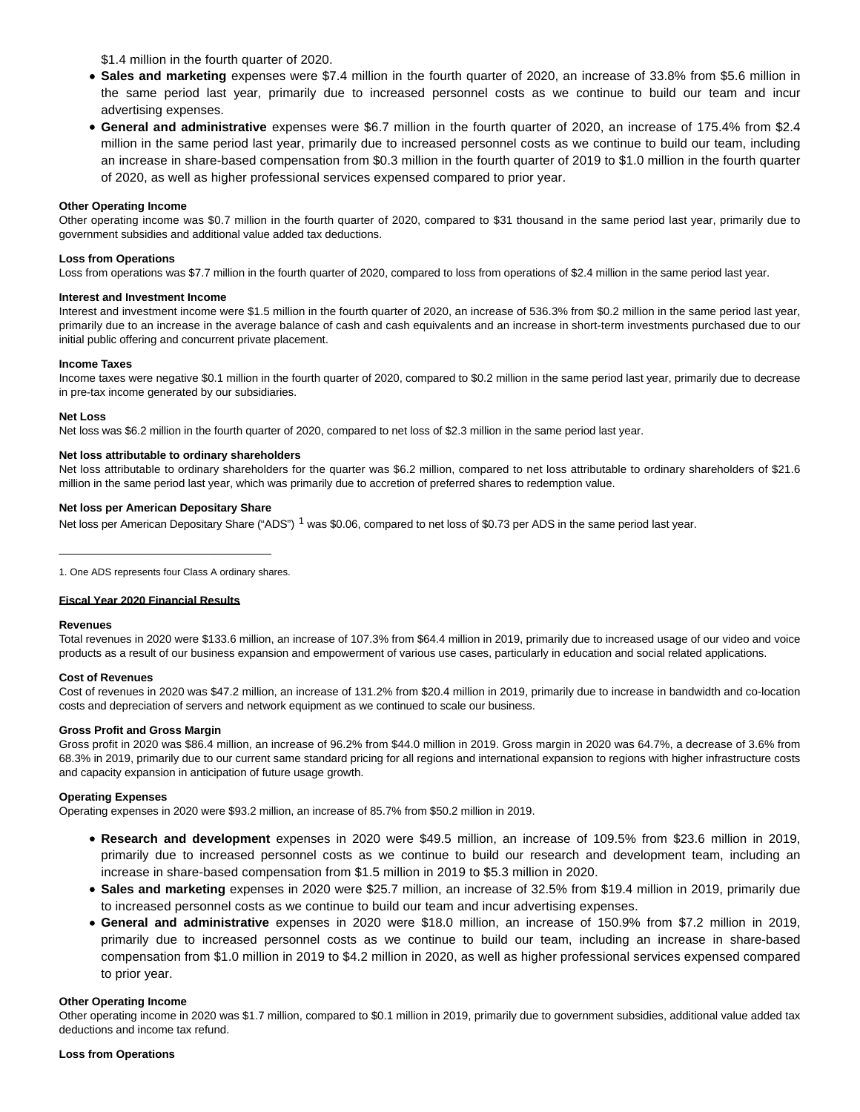\$1.4 million in the fourth quarter of 2020.

- **Sales and marketing** expenses were \$7.4 million in the fourth quarter of 2020, an increase of 33.8% from \$5.6 million in the same period last year, primarily due to increased personnel costs as we continue to build our team and incur advertising expenses.
- **General and administrative** expenses were \$6.7 million in the fourth quarter of 2020, an increase of 175.4% from \$2.4 million in the same period last year, primarily due to increased personnel costs as we continue to build our team, including an increase in share-based compensation from \$0.3 million in the fourth quarter of 2019 to \$1.0 million in the fourth quarter of 2020, as well as higher professional services expensed compared to prior year.

### **Other Operating Income**

Other operating income was \$0.7 million in the fourth quarter of 2020, compared to \$31 thousand in the same period last year, primarily due to government subsidies and additional value added tax deductions.

### **Loss from Operations**

Loss from operations was \$7.7 million in the fourth quarter of 2020, compared to loss from operations of \$2.4 million in the same period last year.

### **Interest and Investment Income**

Interest and investment income were \$1.5 million in the fourth quarter of 2020, an increase of 536.3% from \$0.2 million in the same period last year, primarily due to an increase in the average balance of cash and cash equivalents and an increase in short-term investments purchased due to our initial public offering and concurrent private placement.

### **Income Taxes**

Income taxes were negative \$0.1 million in the fourth quarter of 2020, compared to \$0.2 million in the same period last year, primarily due to decrease in pre-tax income generated by our subsidiaries.

#### **Net Loss**

Net loss was \$6.2 million in the fourth quarter of 2020, compared to net loss of \$2.3 million in the same period last year.

### **Net loss attributable to ordinary shareholders**

Net loss attributable to ordinary shareholders for the quarter was \$6.2 million, compared to net loss attributable to ordinary shareholders of \$21.6 million in the same period last year, which was primarily due to accretion of preferred shares to redemption value.

### **Net loss per American Depositary Share**

\_\_\_\_\_\_\_\_\_\_\_\_\_\_\_\_\_\_\_\_\_\_\_\_\_\_\_\_\_\_\_\_\_\_

Net loss per American Depositary Share ("ADS") <sup>1</sup> was \$0.06, compared to net loss of \$0.73 per ADS in the same period last year.

1. One ADS represents four Class A ordinary shares.

### **Fiscal Year 2020 Financial Results**

#### **Revenues**

Total revenues in 2020 were \$133.6 million, an increase of 107.3% from \$64.4 million in 2019, primarily due to increased usage of our video and voice products as a result of our business expansion and empowerment of various use cases, particularly in education and social related applications.

#### **Cost of Revenues**

Cost of revenues in 2020 was \$47.2 million, an increase of 131.2% from \$20.4 million in 2019, primarily due to increase in bandwidth and co-location costs and depreciation of servers and network equipment as we continued to scale our business.

### **Gross Profit and Gross Margin**

Gross profit in 2020 was \$86.4 million, an increase of 96.2% from \$44.0 million in 2019. Gross margin in 2020 was 64.7%, a decrease of 3.6% from 68.3% in 2019, primarily due to our current same standard pricing for all regions and international expansion to regions with higher infrastructure costs and capacity expansion in anticipation of future usage growth.

### **Operating Expenses**

Operating expenses in 2020 were \$93.2 million, an increase of 85.7% from \$50.2 million in 2019.

- **Research and development** expenses in 2020 were \$49.5 million, an increase of 109.5% from \$23.6 million in 2019, primarily due to increased personnel costs as we continue to build our research and development team, including an increase in share-based compensation from \$1.5 million in 2019 to \$5.3 million in 2020.
- **Sales and marketing** expenses in 2020 were \$25.7 million, an increase of 32.5% from \$19.4 million in 2019, primarily due to increased personnel costs as we continue to build our team and incur advertising expenses.
- **General and administrative** expenses in 2020 were \$18.0 million, an increase of 150.9% from \$7.2 million in 2019, primarily due to increased personnel costs as we continue to build our team, including an increase in share-based compensation from \$1.0 million in 2019 to \$4.2 million in 2020, as well as higher professional services expensed compared to prior year.

### **Other Operating Income**

Other operating income in 2020 was \$1.7 million, compared to \$0.1 million in 2019, primarily due to government subsidies, additional value added tax deductions and income tax refund.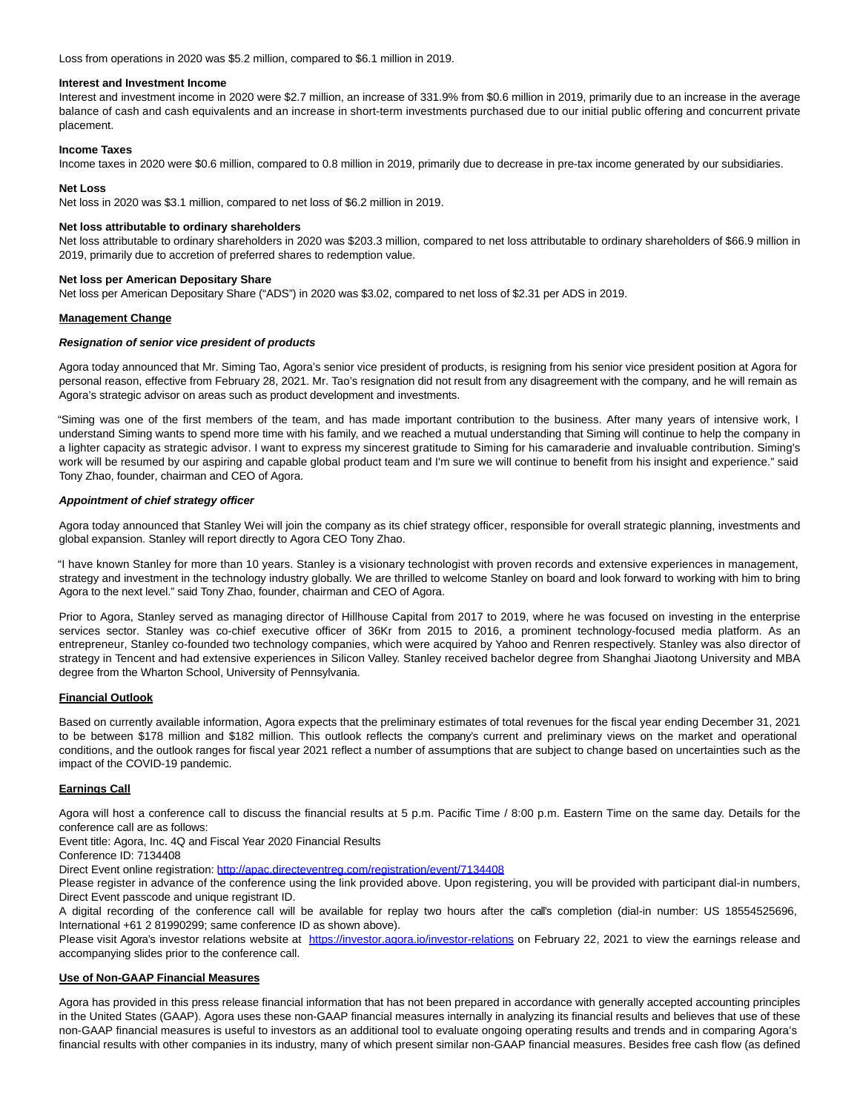Loss from operations in 2020 was \$5.2 million, compared to \$6.1 million in 2019.

### **Interest and Investment Income**

Interest and investment income in 2020 were \$2.7 million, an increase of 331.9% from \$0.6 million in 2019, primarily due to an increase in the average balance of cash and cash equivalents and an increase in short-term investments purchased due to our initial public offering and concurrent private placement.

### **Income Taxes**

Income taxes in 2020 were \$0.6 million, compared to 0.8 million in 2019, primarily due to decrease in pre-tax income generated by our subsidiaries.

### **Net Loss**

Net loss in 2020 was \$3.1 million, compared to net loss of \$6.2 million in 2019.

### **Net loss attributable to ordinary shareholders**

Net loss attributable to ordinary shareholders in 2020 was \$203.3 million, compared to net loss attributable to ordinary shareholders of \$66.9 million in 2019, primarily due to accretion of preferred shares to redemption value.

### **Net loss per American Depositary Share**

Net loss per American Depositary Share ("ADS") in 2020 was \$3.02, compared to net loss of \$2.31 per ADS in 2019.

### **Management Change**

### **Resignation of senior vice president of products**

Agora today announced that Mr. Siming Tao, Agora's senior vice president of products, is resigning from his senior vice president position at Agora for personal reason, effective from February 28, 2021. Mr. Tao's resignation did not result from any disagreement with the company, and he will remain as Agora's strategic advisor on areas such as product development and investments.

"Siming was one of the first members of the team, and has made important contribution to the business. After many years of intensive work, I understand Siming wants to spend more time with his family, and we reached a mutual understanding that Siming will continue to help the company in a lighter capacity as strategic advisor. I want to express my sincerest gratitude to Siming for his camaraderie and invaluable contribution. Siming's work will be resumed by our aspiring and capable global product team and I'm sure we will continue to benefit from his insight and experience." said Tony Zhao, founder, chairman and CEO of Agora.

### **Appointment of chief strategy officer**

Agora today announced that Stanley Wei will join the company as its chief strategy officer, responsible for overall strategic planning, investments and global expansion. Stanley will report directly to Agora CEO Tony Zhao.

"I have known Stanley for more than 10 years. Stanley is a visionary technologist with proven records and extensive experiences in management, strategy and investment in the technology industry globally. We are thrilled to welcome Stanley on board and look forward to working with him to bring Agora to the next level." said Tony Zhao, founder, chairman and CEO of Agora.

Prior to Agora, Stanley served as managing director of Hillhouse Capital from 2017 to 2019, where he was focused on investing in the enterprise services sector. Stanley was co-chief executive officer of 36Kr from 2015 to 2016, a prominent technology-focused media platform. As an entrepreneur, Stanley co-founded two technology companies, which were acquired by Yahoo and Renren respectively. Stanley was also director of strategy in Tencent and had extensive experiences in Silicon Valley. Stanley received bachelor degree from Shanghai Jiaotong University and MBA degree from the Wharton School, University of Pennsylvania.

### **Financial Outlook**

Based on currently available information, Agora expects that the preliminary estimates of total revenues for the fiscal year ending December 31, 2021 to be between \$178 million and \$182 million. This outlook reflects the company's current and preliminary views on the market and operational conditions, and the outlook ranges for fiscal year 2021 reflect a number of assumptions that are subject to change based on uncertainties such as the impact of the COVID-19 pandemic.

### **Earnings Call**

Agora will host a conference call to discuss the financial results at 5 p.m. Pacific Time / 8:00 p.m. Eastern Time on the same day. Details for the conference call are as follows:

Event title: Agora, Inc. 4Q and Fiscal Year 2020 Financial Results

Conference ID: 7134408

Direct Event online registration[: http://apac.directeventreg.com/registration/event/7134408](https://www.globenewswire.com/Tracker?data=WhS1PgPAvJCoXkRjchz-kf7fF3obFbDEhcNhsUM--N1QjEOFTXqOTjuNfNjM__KAOVXyA2VWaiBZsuxakkRrNJDcOpvpMA_aVxOkxsAbWdh6vnrX8iG-EfrDZYpnbcLY__5t89o7U_pQ5fV3B0Mv6dTEJ6Xuqp9MjPtNYOQXyw9d2CWdBMDxrdOA5nM7Qw6I)

Please register in advance of the conference using the link provided above. Upon registering, you will be provided with participant dial-in numbers, Direct Event passcode and unique registrant ID.

A digital recording of the conference call will be available for replay two hours after the call's completion (dial-in number: US 18554525696, International +61 2 81990299; same conference ID as shown above).

Please visit Agora's investor relations website at [https://investor.agora.io/investor-relations o](https://www.globenewswire.com/Tracker?data=EcRcF3WoikGBWRc-f8tgzyzrJCBnLEJif2YjooP2Cxdt9q_9VLmh4clwmWTmGyjwOi4HXR8ci_EhOgq8pKJUHxAg_hNVBnoV5KrJZMtsKCBud1sRQZDXifOGpa_eChFhN6aDUeM_sSyfg78foHNDug==)n February 22, 2021 to view the earnings release and accompanying slides prior to the conference call.

### **Use of Non-GAAP Financial Measures**

Agora has provided in this press release financial information that has not been prepared in accordance with generally accepted accounting principles in the United States (GAAP). Agora uses these non-GAAP financial measures internally in analyzing its financial results and believes that use of these non-GAAP financial measures is useful to investors as an additional tool to evaluate ongoing operating results and trends and in comparing Agora's financial results with other companies in its industry, many of which present similar non-GAAP financial measures. Besides free cash flow (as defined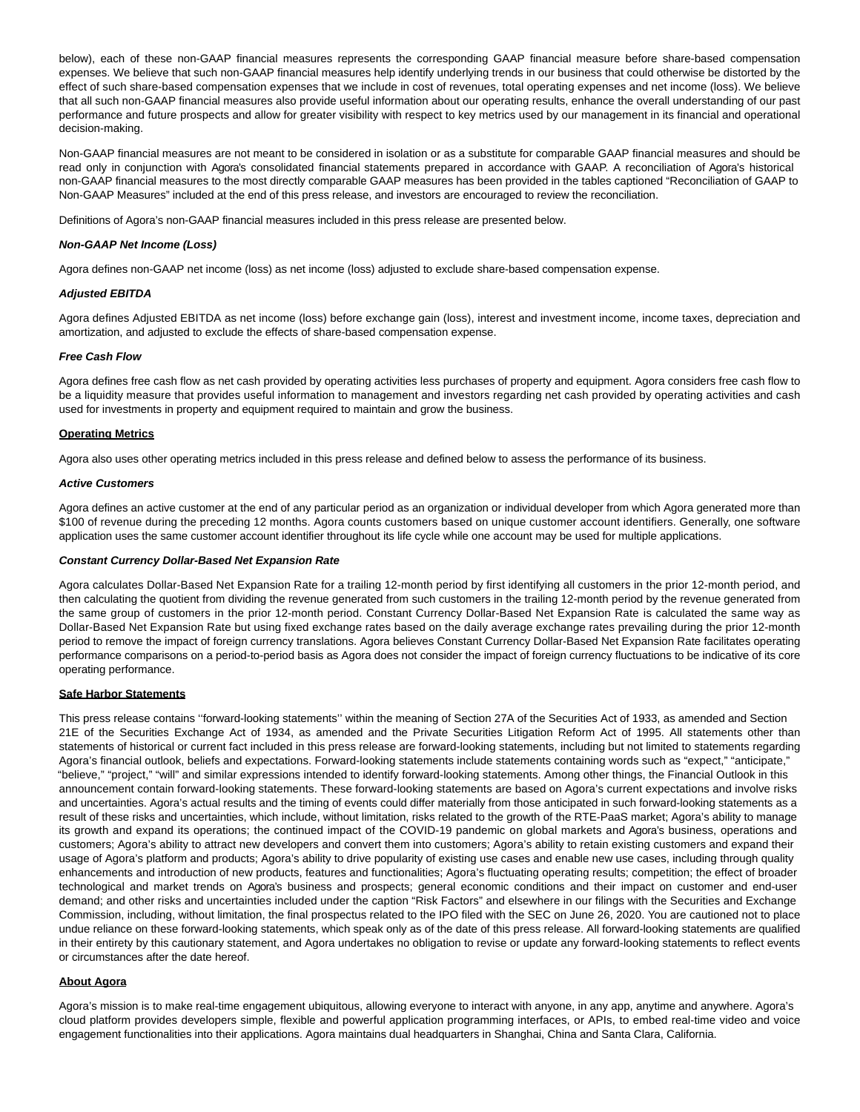below), each of these non-GAAP financial measures represents the corresponding GAAP financial measure before share-based compensation expenses. We believe that such non-GAAP financial measures help identify underlying trends in our business that could otherwise be distorted by the effect of such share-based compensation expenses that we include in cost of revenues, total operating expenses and net income (loss). We believe that all such non-GAAP financial measures also provide useful information about our operating results, enhance the overall understanding of our past performance and future prospects and allow for greater visibility with respect to key metrics used by our management in its financial and operational decision-making.

Non-GAAP financial measures are not meant to be considered in isolation or as a substitute for comparable GAAP financial measures and should be read only in conjunction with Agora's consolidated financial statements prepared in accordance with GAAP. A reconciliation of Agora's historical non-GAAP financial measures to the most directly comparable GAAP measures has been provided in the tables captioned "Reconciliation of GAAP to Non-GAAP Measures" included at the end of this press release, and investors are encouraged to review the reconciliation.

Definitions of Agora's non-GAAP financial measures included in this press release are presented below.

### **Non-GAAP Net Income (Loss)**

Agora defines non-GAAP net income (loss) as net income (loss) adjusted to exclude share-based compensation expense.

### **Adjusted EBITDA**

Agora defines Adjusted EBITDA as net income (loss) before exchange gain (loss), interest and investment income, income taxes, depreciation and amortization, and adjusted to exclude the effects of share-based compensation expense.

### **Free Cash Flow**

Agora defines free cash flow as net cash provided by operating activities less purchases of property and equipment. Agora considers free cash flow to be a liquidity measure that provides useful information to management and investors regarding net cash provided by operating activities and cash used for investments in property and equipment required to maintain and grow the business.

### **Operating Metrics**

Agora also uses other operating metrics included in this press release and defined below to assess the performance of its business.

### **Active Customers**

Agora defines an active customer at the end of any particular period as an organization or individual developer from which Agora generated more than \$100 of revenue during the preceding 12 months. Agora counts customers based on unique customer account identifiers. Generally, one software application uses the same customer account identifier throughout its life cycle while one account may be used for multiple applications.

### **Constant Currency Dollar-Based Net Expansion Rate**

Agora calculates Dollar-Based Net Expansion Rate for a trailing 12-month period by first identifying all customers in the prior 12-month period, and then calculating the quotient from dividing the revenue generated from such customers in the trailing 12-month period by the revenue generated from the same group of customers in the prior 12-month period. Constant Currency Dollar-Based Net Expansion Rate is calculated the same way as Dollar-Based Net Expansion Rate but using fixed exchange rates based on the daily average exchange rates prevailing during the prior 12-month period to remove the impact of foreign currency translations. Agora believes Constant Currency Dollar-Based Net Expansion Rate facilitates operating performance comparisons on a period-to-period basis as Agora does not consider the impact of foreign currency fluctuations to be indicative of its core operating performance.

### **Safe Harbor Statements**

This press release contains ''forward-looking statements'' within the meaning of Section 27A of the Securities Act of 1933, as amended and Section 21E of the Securities Exchange Act of 1934, as amended and the Private Securities Litigation Reform Act of 1995. All statements other than statements of historical or current fact included in this press release are forward-looking statements, including but not limited to statements regarding Agora's financial outlook, beliefs and expectations. Forward-looking statements include statements containing words such as "expect," "anticipate," "believe," "project," "will" and similar expressions intended to identify forward-looking statements. Among other things, the Financial Outlook in this announcement contain forward-looking statements. These forward-looking statements are based on Agora's current expectations and involve risks and uncertainties. Agora's actual results and the timing of events could differ materially from those anticipated in such forward-looking statements as a result of these risks and uncertainties, which include, without limitation, risks related to the growth of the RTE-PaaS market; Agora's ability to manage its growth and expand its operations; the continued impact of the COVID-19 pandemic on global markets and Agora's business, operations and customers; Agora's ability to attract new developers and convert them into customers; Agora's ability to retain existing customers and expand their usage of Agora's platform and products; Agora's ability to drive popularity of existing use cases and enable new use cases, including through quality enhancements and introduction of new products, features and functionalities; Agora's fluctuating operating results; competition; the effect of broader technological and market trends on Agora's business and prospects; general economic conditions and their impact on customer and end-user demand; and other risks and uncertainties included under the caption "Risk Factors" and elsewhere in our filings with the Securities and Exchange Commission, including, without limitation, the final prospectus related to the IPO filed with the SEC on June 26, 2020. You are cautioned not to place undue reliance on these forward-looking statements, which speak only as of the date of this press release. All forward-looking statements are qualified in their entirety by this cautionary statement, and Agora undertakes no obligation to revise or update any forward-looking statements to reflect events or circumstances after the date hereof.

### **About Agora**

Agora's mission is to make real-time engagement ubiquitous, allowing everyone to interact with anyone, in any app, anytime and anywhere. Agora's cloud platform provides developers simple, flexible and powerful application programming interfaces, or APIs, to embed real-time video and voice engagement functionalities into their applications. Agora maintains dual headquarters in Shanghai, China and Santa Clara, California.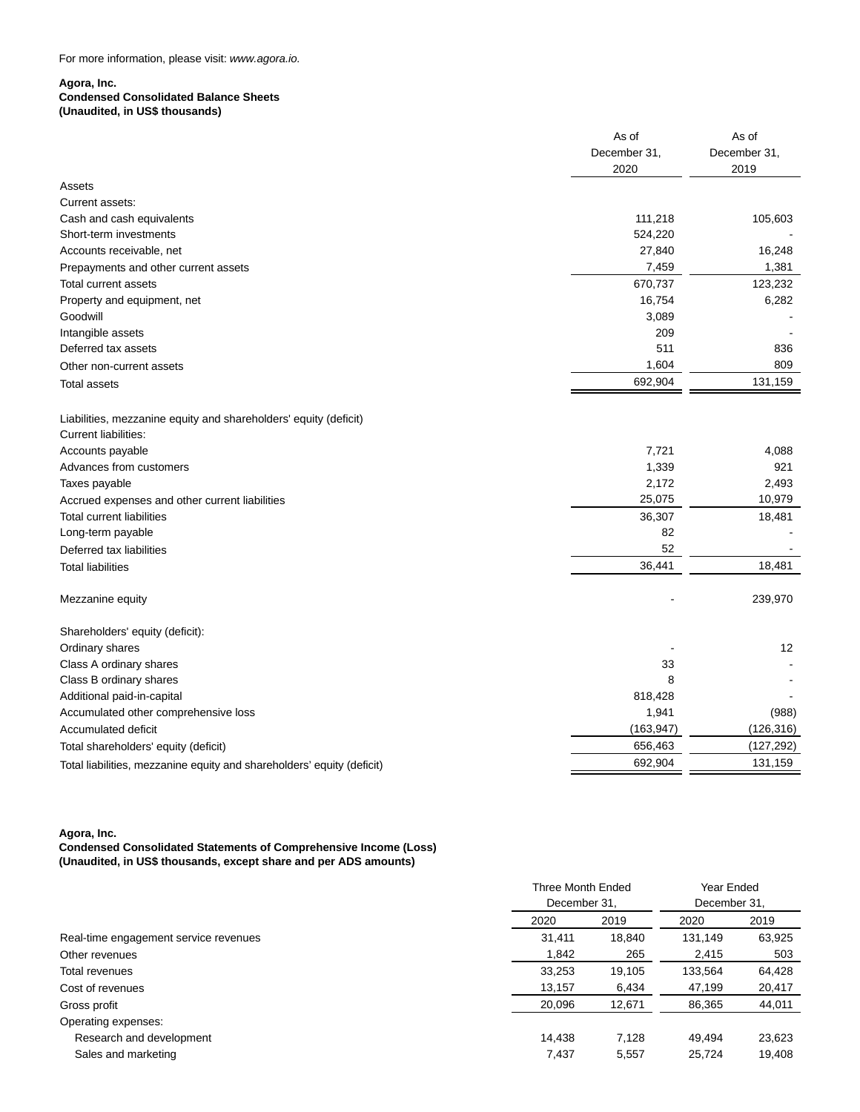For more information, please visit: www.agora.io.

### **Agora, Inc.**

## **Condensed Consolidated Balance Sheets**

**(Unaudited, in US\$ thousands)**

|                                                                        | As of<br>December 31,<br>2020 | As of<br>December 31,<br>2019 |  |
|------------------------------------------------------------------------|-------------------------------|-------------------------------|--|
| Assets                                                                 |                               |                               |  |
| Current assets:                                                        |                               |                               |  |
| Cash and cash equivalents                                              | 111,218                       | 105,603                       |  |
| Short-term investments                                                 | 524,220                       |                               |  |
| Accounts receivable, net                                               | 27,840                        | 16,248                        |  |
| Prepayments and other current assets                                   | 7,459                         | 1,381                         |  |
| Total current assets                                                   | 670,737                       | 123,232                       |  |
| Property and equipment, net                                            | 16,754                        | 6,282                         |  |
| Goodwill                                                               | 3,089                         |                               |  |
| Intangible assets                                                      | 209                           |                               |  |
| Deferred tax assets                                                    | 511                           | 836                           |  |
| Other non-current assets                                               | 1,604                         | 809                           |  |
| <b>Total assets</b>                                                    | 692,904                       | 131,159                       |  |
| Liabilities, mezzanine equity and shareholders' equity (deficit)       |                               |                               |  |
| Current liabilities:                                                   |                               |                               |  |
| Accounts payable                                                       | 7,721                         | 4,088                         |  |
| Advances from customers                                                | 1,339                         | 921                           |  |
| Taxes payable                                                          | 2,172                         | 2,493                         |  |
| Accrued expenses and other current liabilities                         | 25,075                        | 10,979                        |  |
| <b>Total current liabilities</b>                                       | 36,307                        | 18,481                        |  |
| Long-term payable                                                      | 82                            |                               |  |
| Deferred tax liabilities                                               | 52                            |                               |  |
| <b>Total liabilities</b>                                               | 36,441                        | 18,481                        |  |
| Mezzanine equity                                                       |                               | 239,970                       |  |
| Shareholders' equity (deficit):                                        |                               |                               |  |
| Ordinary shares                                                        |                               | 12                            |  |
| Class A ordinary shares                                                | 33                            |                               |  |
| Class B ordinary shares                                                | 8                             |                               |  |
| Additional paid-in-capital                                             | 818,428                       |                               |  |
| Accumulated other comprehensive loss                                   | 1,941                         | (988)                         |  |
| Accumulated deficit                                                    | (163, 947)                    | (126, 316)                    |  |
| Total shareholders' equity (deficit)                                   | 656,463                       | (127, 292)                    |  |
| Total liabilities, mezzanine equity and shareholders' equity (deficit) | 692,904                       | 131,159                       |  |

**Agora, Inc.**

### **Condensed Consolidated Statements of Comprehensive Income (Loss) (Unaudited, in US\$ thousands, except share and per ADS amounts)**

|                                       | Three Month Ended<br>December 31, |        | Year Ended<br>December 31, |        |
|---------------------------------------|-----------------------------------|--------|----------------------------|--------|
|                                       |                                   |        |                            |        |
|                                       | 2020                              | 2019   | 2020                       | 2019   |
| Real-time engagement service revenues | 31.411                            | 18.840 | 131.149                    | 63,925 |
| Other revenues                        | 1.842                             | 265    | 2.415                      | 503    |
| Total revenues                        | 33,253                            | 19,105 | 133,564                    | 64,428 |
| Cost of revenues                      | 13,157                            | 6,434  | 47,199                     | 20,417 |
| Gross profit                          | 20,096                            | 12,671 | 86,365                     | 44,011 |
| Operating expenses:                   |                                   |        |                            |        |
| Research and development              | 14,438                            | 7.128  | 49,494                     | 23,623 |
| Sales and marketing                   | 7,437                             | 5,557  | 25,724                     | 19,408 |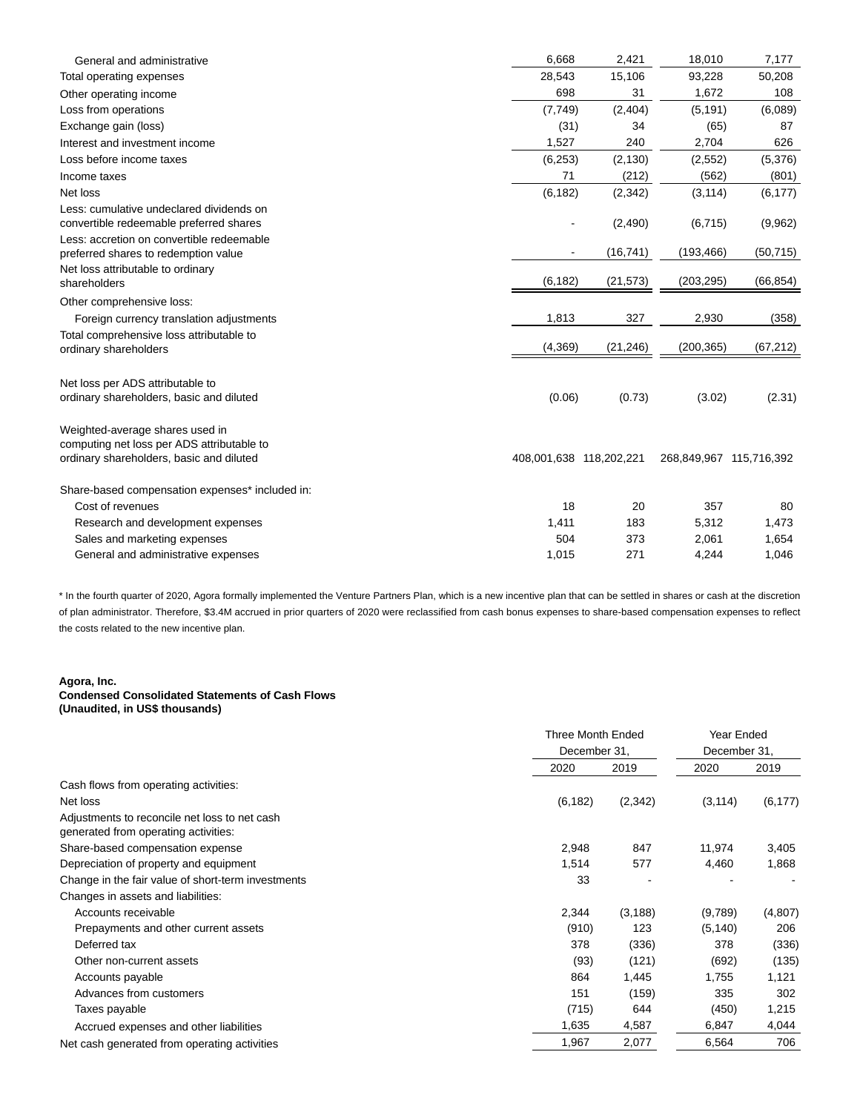| General and administrative                                                                                                       | 6,668    | 2,421                   | 18,010                  | 7,177     |
|----------------------------------------------------------------------------------------------------------------------------------|----------|-------------------------|-------------------------|-----------|
| Total operating expenses                                                                                                         | 28,543   | 15,106                  | 93,228                  | 50,208    |
| Other operating income                                                                                                           | 698      | 31                      | 1,672                   | 108       |
| Loss from operations                                                                                                             | (7, 749) | (2,404)                 | (5, 191)                | (6,089)   |
| Exchange gain (loss)                                                                                                             | (31)     | 34                      | (65)                    | 87        |
| Interest and investment income                                                                                                   | 1,527    | 240                     | 2,704                   | 626       |
| Loss before income taxes                                                                                                         | (6, 253) | (2, 130)                | (2, 552)                | (5,376)   |
| Income taxes                                                                                                                     | 71       | (212)                   | (562)                   | (801)     |
| Net loss                                                                                                                         | (6, 182) | (2, 342)                | (3, 114)                | (6, 177)  |
| Less: cumulative undeclared dividends on<br>convertible redeemable preferred shares<br>Less: accretion on convertible redeemable |          | (2, 490)                | (6, 715)                | (9,962)   |
| preferred shares to redemption value                                                                                             |          | (16, 741)               | (193, 466)              | (50, 715) |
| Net loss attributable to ordinary<br>shareholders                                                                                | (6, 182) | (21, 573)               | (203, 295)              | (66, 854) |
| Other comprehensive loss:                                                                                                        |          |                         |                         |           |
| Foreign currency translation adjustments                                                                                         | 1,813    | 327                     | 2,930                   | (358)     |
| Total comprehensive loss attributable to<br>ordinary shareholders                                                                | (4,369)  | (21, 246)               | (200,365)               | (67, 212) |
| Net loss per ADS attributable to<br>ordinary shareholders, basic and diluted                                                     | (0.06)   | (0.73)                  | (3.02)                  | (2.31)    |
| Weighted-average shares used in<br>computing net loss per ADS attributable to<br>ordinary shareholders, basic and diluted        |          | 408,001,638 118,202,221 | 268,849,967 115,716,392 |           |
| Share-based compensation expenses* included in:                                                                                  |          |                         |                         |           |
| Cost of revenues                                                                                                                 | 18       | 20                      | 357                     | 80        |
| Research and development expenses                                                                                                | 1,411    | 183                     | 5,312                   | 1,473     |
| Sales and marketing expenses                                                                                                     | 504      | 373                     | 2,061                   | 1,654     |
| General and administrative expenses                                                                                              | 1,015    | 271                     | 4,244                   | 1,046     |

\* In the fourth quarter of 2020, Agora formally implemented the Venture Partners Plan, which is a new incentive plan that can be settled in shares or cash at the discretion of plan administrator. Therefore, \$3.4M accrued in prior quarters of 2020 were reclassified from cash bonus expenses to share-based compensation expenses to reflect the costs related to the new incentive plan.

### **Agora, Inc.**

### **Condensed Consolidated Statements of Cash Flows (Unaudited, in US\$ thousands)**

|                                                    |              | <b>Three Month Ended</b> |              | Year Ended |  |
|----------------------------------------------------|--------------|--------------------------|--------------|------------|--|
|                                                    | December 31, |                          | December 31. |            |  |
|                                                    | 2020         | 2019                     | 2020         | 2019       |  |
| Cash flows from operating activities:              |              |                          |              |            |  |
| Net loss                                           | (6, 182)     | (2,342)                  | (3, 114)     | (6, 177)   |  |
| Adjustments to reconcile net loss to net cash      |              |                          |              |            |  |
| generated from operating activities:               |              |                          |              |            |  |
| Share-based compensation expense                   | 2,948        | 847                      | 11,974       | 3,405      |  |
| Depreciation of property and equipment             | 1,514        | 577                      | 4,460        | 1,868      |  |
| Change in the fair value of short-term investments | 33           |                          |              |            |  |
| Changes in assets and liabilities:                 |              |                          |              |            |  |
| Accounts receivable                                | 2,344        | (3, 188)                 | (9,789)      | (4,807)    |  |
| Prepayments and other current assets               | (910)        | 123                      | (5, 140)     | 206        |  |
| Deferred tax                                       | 378          | (336)                    | 378          | (336)      |  |
| Other non-current assets                           | (93)         | (121)                    | (692)        | (135)      |  |
| Accounts payable                                   | 864          | 1,445                    | 1,755        | 1,121      |  |
| Advances from customers                            | 151          | (159)                    | 335          | 302        |  |
| Taxes payable                                      | (715)        | 644                      | (450)        | 1,215      |  |
| Accrued expenses and other liabilities             | 1,635        | 4,587                    | 6,847        | 4,044      |  |
| Net cash generated from operating activities       | 1,967        | 2,077                    | 6,564        | 706        |  |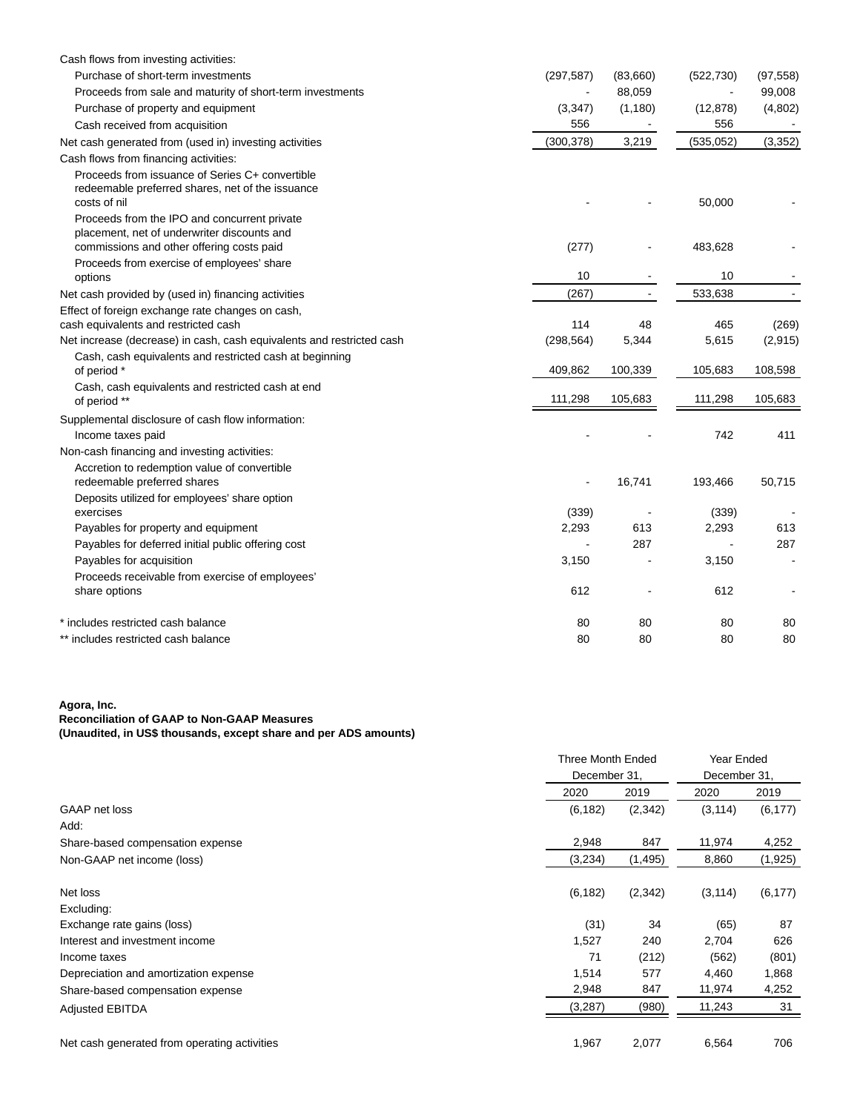| Cash flows from investing activities:                                 |            |                |            |                |
|-----------------------------------------------------------------------|------------|----------------|------------|----------------|
| Purchase of short-term investments                                    | (297, 587) | (83,660)       | (522, 730) | (97, 558)      |
| Proceeds from sale and maturity of short-term investments             |            | 88,059         |            | 99,008         |
| Purchase of property and equipment                                    | (3, 347)   | (1, 180)       | (12, 878)  | (4,802)        |
| Cash received from acquisition                                        | 556        |                | 556        |                |
| Net cash generated from (used in) investing activities                | (300, 378) | 3,219          | (535,052)  | (3, 352)       |
| Cash flows from financing activities:                                 |            |                |            |                |
| Proceeds from issuance of Series C+ convertible                       |            |                |            |                |
| redeemable preferred shares, net of the issuance                      |            |                |            |                |
| costs of nil                                                          |            |                | 50,000     |                |
| Proceeds from the IPO and concurrent private                          |            |                |            |                |
| placement, net of underwriter discounts and                           |            |                |            |                |
| commissions and other offering costs paid                             | (277)      |                | 483,628    |                |
| Proceeds from exercise of employees' share                            |            |                |            |                |
| options                                                               | 10         |                | 10         |                |
| Net cash provided by (used in) financing activities                   | (267)      | $\blacksquare$ | 533,638    | $\blacksquare$ |
| Effect of foreign exchange rate changes on cash,                      |            |                |            |                |
| cash equivalents and restricted cash                                  | 114        | 48             | 465        | (269)          |
| Net increase (decrease) in cash, cash equivalents and restricted cash | (298, 564) | 5,344          | 5,615      | (2, 915)       |
| Cash, cash equivalents and restricted cash at beginning               |            |                |            |                |
| of period *                                                           | 409,862    | 100,339        | 105,683    | 108,598        |
| Cash, cash equivalents and restricted cash at end                     |            |                |            |                |
| of period **                                                          | 111,298    | 105,683        | 111,298    | 105,683        |
| Supplemental disclosure of cash flow information:                     |            |                |            |                |
| Income taxes paid                                                     |            |                | 742        | 411            |
| Non-cash financing and investing activities:                          |            |                |            |                |
| Accretion to redemption value of convertible                          |            |                |            |                |
| redeemable preferred shares                                           |            | 16,741         | 193,466    | 50,715         |
| Deposits utilized for employees' share option                         |            |                |            |                |
| exercises                                                             | (339)      |                | (339)      |                |
| Payables for property and equipment                                   | 2,293      | 613            | 2,293      | 613            |
| Payables for deferred initial public offering cost                    |            | 287            |            | 287            |
| Payables for acquisition                                              | 3,150      |                | 3,150      |                |
| Proceeds receivable from exercise of employees'                       |            |                |            |                |
| share options                                                         | 612        |                | 612        |                |
| * includes restricted cash balance                                    | 80         | 80             | 80         | 80             |
| ** includes restricted cash balance                                   | 80         | 80             | 80         | 80             |
|                                                                       |            |                |            |                |

### **Agora, Inc. Reconciliation of GAAP to Non-GAAP Measures (Unaudited, in US\$ thousands, except share and per ADS amounts)**

|                                              |          | Three Month Ended<br>December 31, |          | Year Ended<br>December 31, |  |
|----------------------------------------------|----------|-----------------------------------|----------|----------------------------|--|
|                                              |          |                                   |          |                            |  |
|                                              | 2020     | 2019                              | 2020     | 2019                       |  |
| GAAP net loss                                | (6, 182) | (2,342)                           | (3, 114) | (6, 177)                   |  |
| Add:                                         |          |                                   |          |                            |  |
| Share-based compensation expense             | 2,948    | 847                               | 11,974   | 4,252                      |  |
| Non-GAAP net income (loss)                   | (3,234)  | (1, 495)                          | 8,860    | (1,925)                    |  |
| Net loss                                     | (6, 182) | (2, 342)                          | (3, 114) | (6, 177)                   |  |
| Excluding:                                   |          |                                   |          |                            |  |
| Exchange rate gains (loss)                   | (31)     | 34                                | (65)     | 87                         |  |
| Interest and investment income               | 1,527    | 240                               | 2,704    | 626                        |  |
| Income taxes                                 | 71       | (212)                             | (562)    | (801)                      |  |
| Depreciation and amortization expense        | 1,514    | 577                               | 4,460    | 1,868                      |  |
| Share-based compensation expense             | 2,948    | 847                               | 11,974   | 4,252                      |  |
| <b>Adjusted EBITDA</b>                       | (3,287)  | (980)                             | 11,243   | 31                         |  |
| Net cash generated from operating activities | 1,967    | 2,077                             | 6,564    | 706                        |  |